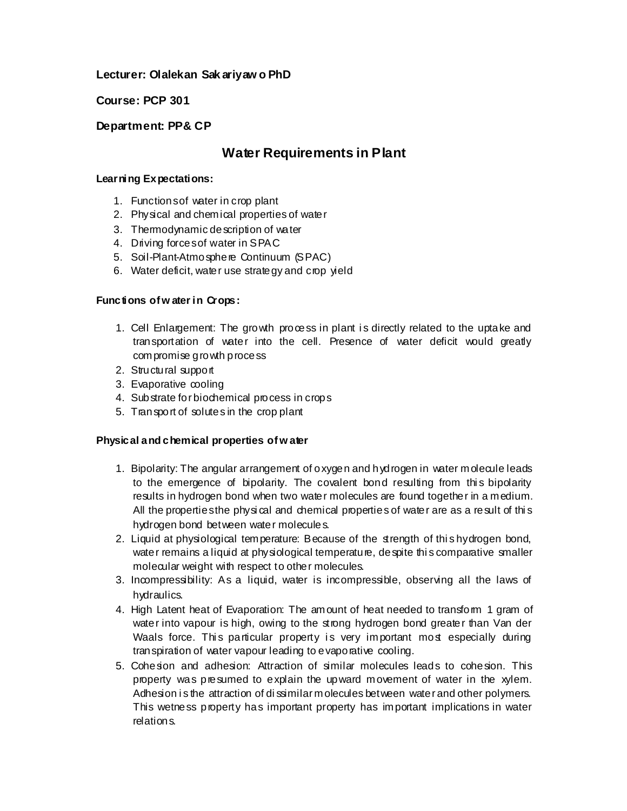# **Lecturer: Olalekan Sak ariyaw o PhD**

**Course: PCP 301**

# **Department: PP& CP**

# **Water Requirements in Plant**

#### **Learning Expectations:**

- 1. Functions of water in crop plant
- 2. Physical and chemical properties of water
- 3. Thermodynamic description of water
- 4. Driving forces of water in SPAC
- 5. Soil-Plant-Atmosphere Continuum (SPAC)
- 6. Water deficit, water use strategy and crop yield

### **Functions of w ater in Crops:**

- 1. Cell Enlargement: The growth process in plant i s directly related to the uptake and transportation of water into the cell. Presence of water deficit would greatly compromise growth process
- 2. Structural support
- 3. Evaporative cooling
- 4. Substrate for biochemical process in crops
- 5. Transport of solutes in the crop plant

### **Physical and chemical properties of w ater**

- 1. Bipolarity: The angular arrangement of oxygen and hydrogen in water molecule leads to the emergence of bipolarity. The covalent bond resulting from this bipolarity results in hydrogen bond when two water molecules are found together in a medium. All the properties the physi cal and chemical properties of water are as a result of thi s hydrogen bond between water molecules.
- 2. Liquid at physiological temperature: Because of the strength of thi s hydrogen bond, water remains a liquid at physiological temperature, despite this comparative smaller molecular weight with respect to other molecules.
- 3. Incompressibility: As a liquid, water is incompressible, observing all the laws of hydraulics.
- 4. High Latent heat of Evaporation: The amount of heat needed to transform 1 gram of water into vapour is high, owing to the strong hydrogen bond greater than Van der Waals force. This particular property is very important most especially during tran spiration of water vapour leading to evaporative cooling.
- 5. Cohesion and adhesion: Attraction of similar molecules leads to cohesion. This property was presumed to explain the upward movement of water in the xylem. Adhesion is the attraction of dissimilar molecules between water and other polymers. This wetness property has important property has important implications in water relations.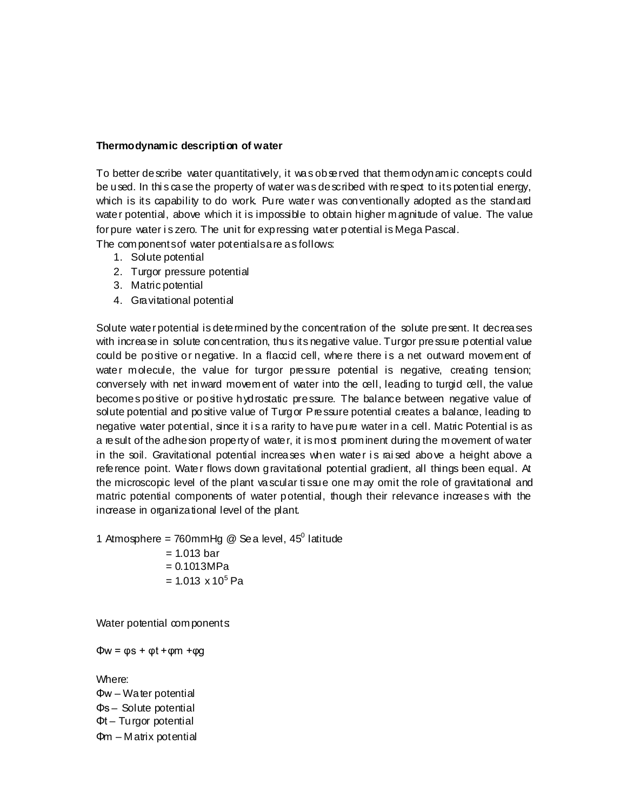#### **Thermodynamic description of water**

To better de scribe water quantitatively, it was observed that thermodynamic concepts could be used. In thi s case the property of water was described with respect to its potential energy, which is its capability to do work. Pure water was conventionally adopted as the standard water potential, above which it is impossible to obtain higher magnitude of value. The value for pure water is zero. The unit for expressing water potential is Mega Pascal.

The components of water potentials are as follows:

- 1. Solute potential
- 2. Turgor pressure potential
- 3. Matric potential
- 4. Gravitational potential

Solute water potential is determined by the concentration of the solute present. It decreases with increase in solute concentration, thus its negative value. Turgor pressure potential value could be positive or negative. In a flaccid cell, where there i s a net outward movement of water molecule, the value for turgor pressure potential is negative, creating tension; conversely with net inward movement of water into the cell, leading to turgid cell, the value becomes positive or positive hydrostatic pressure. The balance between negative value of solute potential and positive value of Turgor Pressure potential creates a balance, leading to negative water potential, since it i s a rarity to have pure water in a cell. Matric Potential is as a result of the adhesion property of water, it is most prominent during the movement of water in the soil. Gravitational potential increases when water is raised above a height above a reference point. Water flows down gravitational potential gradient, all things been equal. At the microscopic level of the plant vascular ti ssue one may omit the role of gravitational and matric potential components of water potential, though their relevance increases with the increase in organizational level of the plant.

1 Atmosphere = 760mmHg @ Sea level,  $45^{\circ}$  latitude  $= 1.013$  bar  $= 0.1013 MPa$  $= 1.013 \times 10^5$  Pa

Water potential components

 $\Phi w = \varphi s + \varphi t + \varphi m + \varphi q$ 

Where:

Φw – Water potential Φs – Solute potential Φt – Turgor potential Φm – Matrix potential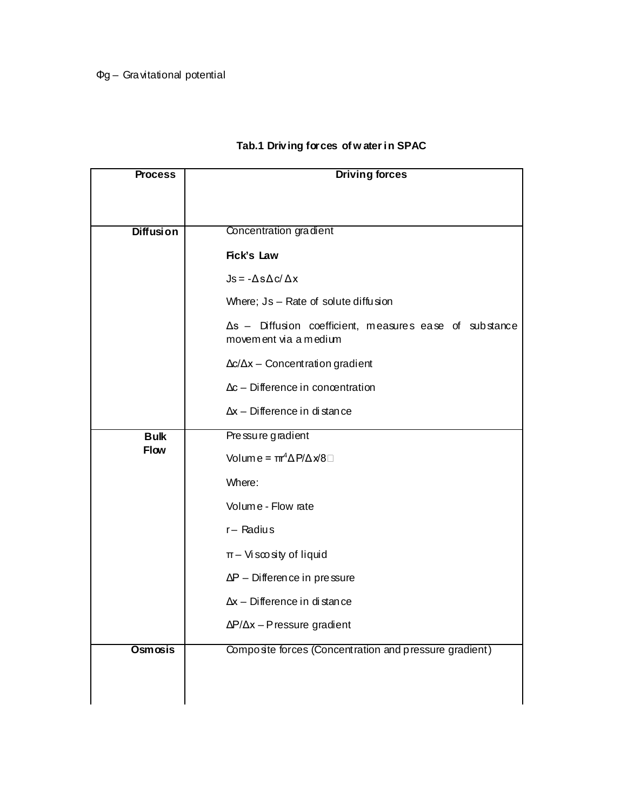# Φg – Gravitational potential

# **Tab.1 Driving forces of w ater in SPAC**

| <b>Process</b>             | <b>Driving forces</b>                                                                   |  |  |
|----------------------------|-----------------------------------------------------------------------------------------|--|--|
|                            |                                                                                         |  |  |
| <b>Diffusion</b>           | Concentration gradient                                                                  |  |  |
|                            |                                                                                         |  |  |
|                            | Fick's Law                                                                              |  |  |
|                            | $Js = -\Delta s \Delta c / \Delta x$                                                    |  |  |
|                            | Where; Js - Rate of solute diffusion                                                    |  |  |
|                            | $\Delta s$ - Diffusion coefficient, measures ease of substance<br>movement via a medium |  |  |
|                            | $\Delta c/\Delta x$ – Concentration gradient                                            |  |  |
|                            | $\Delta c$ – Difference in concentration                                                |  |  |
|                            | $\Delta x$ – Difference in distance                                                     |  |  |
| <b>Bulk</b><br><b>Flow</b> | Pressure gradient                                                                       |  |  |
|                            | Volume = $\pi^4 \Delta P / \Delta x / 8$                                                |  |  |
|                            | Where:                                                                                  |  |  |
|                            | Volume - Flow rate                                                                      |  |  |
|                            | $r -$ Radius                                                                            |  |  |
|                            | $\pi$ – Viscosity of liquid                                                             |  |  |
|                            | $\Delta P$ – Difference in pressure                                                     |  |  |
|                            | $\Delta x$ - Difference in distance                                                     |  |  |
|                            | $\Delta P/\Delta x$ – Pressure gradient                                                 |  |  |
| Osmosis                    | Composite forces (Concentration and pressure gradient)                                  |  |  |
|                            |                                                                                         |  |  |
|                            |                                                                                         |  |  |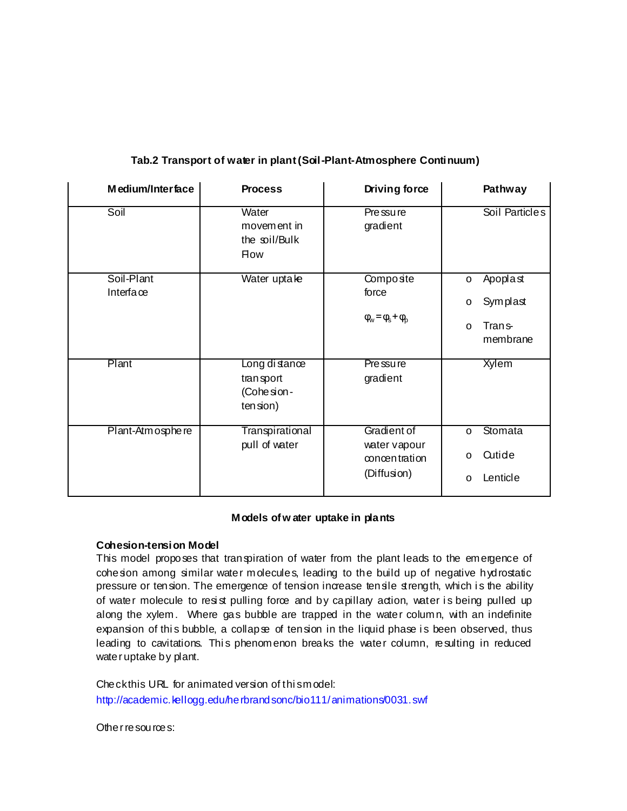| Medium/Interface        | <b>Process</b>                                           | Driving force                                               | Pathway                                                                                  |
|-------------------------|----------------------------------------------------------|-------------------------------------------------------------|------------------------------------------------------------------------------------------|
| Soil                    | Water<br>movem ent in<br>the soil/Bulk<br><b>How</b>     | Pre ssu re<br>gradient                                      | Soil Particles                                                                           |
| Soil-Plant<br>Interface | Water uptake                                             | Composte<br>force<br>$\varphi_w = \varphi_s + \varphi_p$    | Apoplast<br>$\circ$<br>Symplast<br>$\circ$<br>Tran <sub>s</sub> -<br>$\circ$<br>membrane |
| Plant                   | Long di stance<br>transport<br>(Cohe sion -<br>ten sion) | Pre ssu re<br>gradient                                      | <b>Xylem</b>                                                                             |
| Plant-Atm osphe re      | Transpirational<br>pull of water                         | Gradient of<br>water vapour<br>concentration<br>(Diffusion) | Stomata<br>$\circ$<br>Qutide<br>$\circ$<br>Lenticle<br>$\circ$                           |

# **Tab.2 Transport of water in plant (Soil-Plant-Atmosphere Continuum)**

### **Models of w ater uptake in plants**

### **Cohesion-tension Model**

This model proposes that transpiration of water from the plant leads to the emergence of cohesion among similar water molecules, leading to the build up of negative hydrostatic pressure or tension. The emergence of tension increase tensile strength, which is the ability of water molecule to resist pulling force and by capillary action, water is being pulled up along the xylem. Where gas bubble are trapped in the water column, with an indefinite expansion of this bubble, a collapse of tension in the liquid phase is been observed, thus leading to cavitations. This phenomenon breaks the water column, resulting in reduced water uptake by plant.

Check this URL for animated version of this model: http://academic.kellogg.edu/herbrandsonc/bio111/animations/0031.swf

Other resources: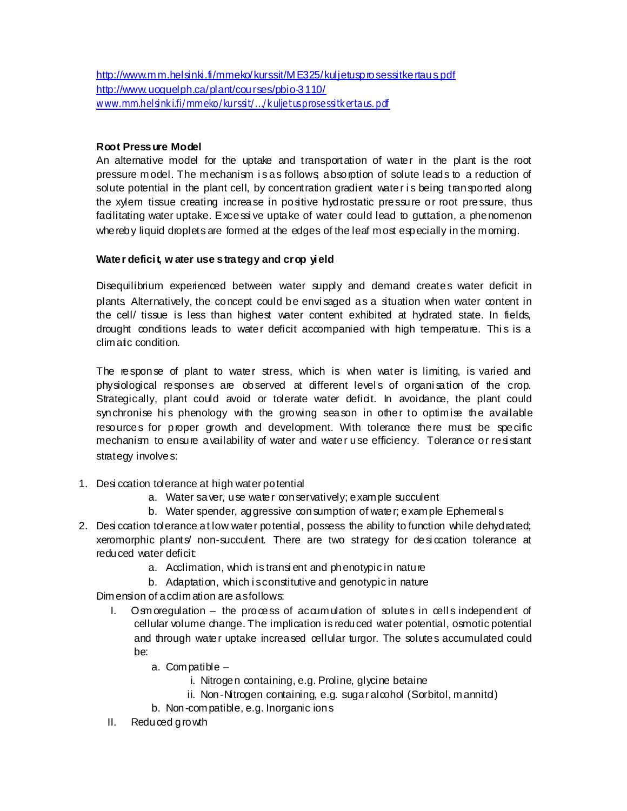http://www.mm.helsinki.fi/mmeko/kurssit/ME325/kuljetusprosessitkertaus.pdf http://www.uoguelph.ca/plant/courses/pbio-3110/ www.mm.helsink i.fi/mmeko/kurssit/.../k uljetusprosessitk ertaus. pdf

## **Root Pressure Model**

An alternative model for the uptake and transportation of water in the plant is the root pressure model. The mechanism i s as follows; absorption of solute leads to a reduction of solute potential in the plant cell, by concentration gradient water is being transported along the xylem tissue creating increase in positive hydrostatic pressure or root pressure, thus facilitating water uptake. Excessi ve uptake of water could lead to guttation, a phenomenon whereby liquid droplets are formed at the edges of the leaf most especially in the morning.

## **Water deficit, w ater use strategy and crop yield**

Disequilibrium experienced between water supply and demand creates water deficit in plants. Alternatively, the concept could be envi saged as a situation when water content in the cell/ tissue is less than highest water content exhibited at hydrated state. In fields, drought conditions leads to water deficit accompanied with high temperature. This is a climatic condition.

The response of plant to water stress, which is when water is limiting, is varied and physiological responses are observed at different levels of organisation of the crop. Strategically, plant could avoid or tolerate water deficit. In avoidance, the plant could synchronise his phenology with the growing season in other to optimise the available resources for proper growth and development. With tolerance there must be specific mechanism to ensure availability of water and water use efficiency. Tolerance or resistant strategy involves:

- 1. Desi ccation tolerance at high water potential
	- a. Water saver, use water conservatively; example succulent
	- b. Water spender, aggressive consumption of water; example Ephemeral s
- 2. Desi ccation tolerance at low water potential, possess the ability to function while dehydrated; xeromorphic plants' non-succulent. There are two strategy for desiccation tolerance at reduced water deficit:
	- a. Acclimation, which is transi ent and phenotypic in nature
	- b. Adaptation, which is constitutive and genotypic in nature

Dimension of acdimation are as follows:

- I. Osmoregulation the process of accumulation of solutes in cells independent of cellular volume change. The implication is reduced water potential, osmotic potential and through water uptake increased cellular turgor. The solutes accumulated could be:
	- a. Compatible
		- i. Nitrogen containing, e.g. Proline, glycine betaine
		- ii. Non-Nitrogen containing, e.g. sugar alcohol (Sorbitol, mannitd)
	- b. Non-compatible, e.g. Inorganic ions
- II. Reduced growth